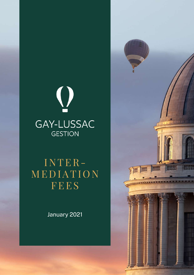

## I N TER-M E D IATI O N FEES

January 2021